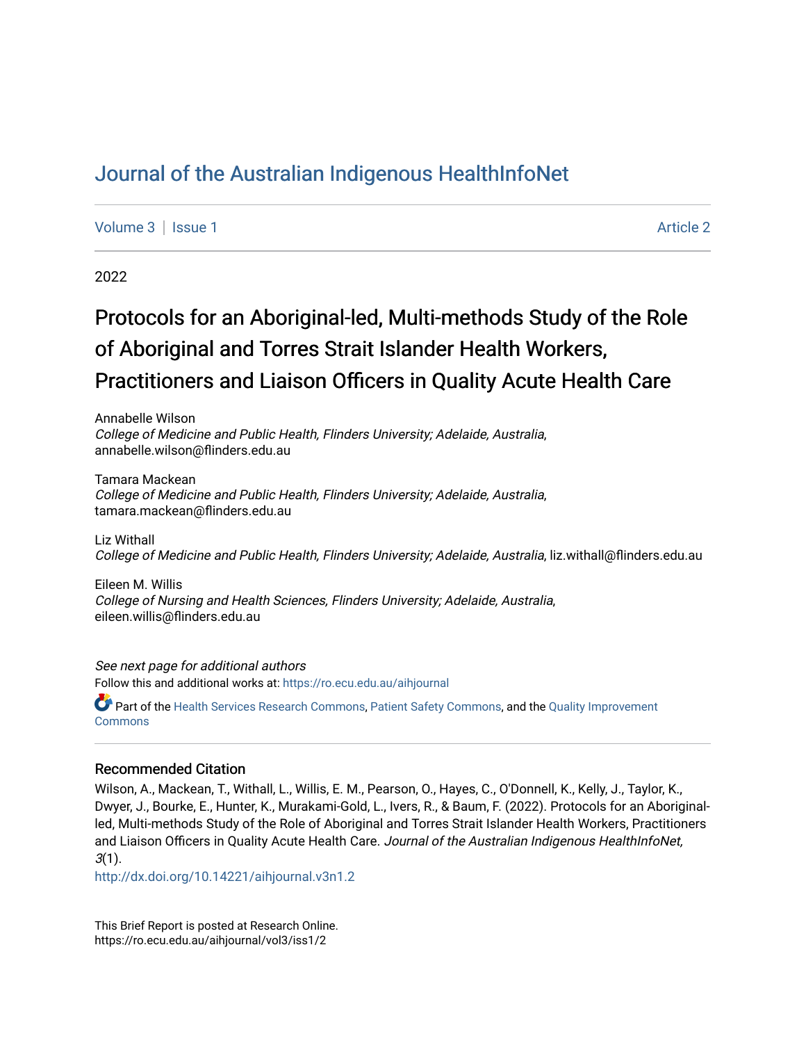# [Journal of the Australian Indigenous HealthInfoNet](https://ro.ecu.edu.au/aihjournal)

[Volume 3](https://ro.ecu.edu.au/aihjournal/vol3) | [Issue 1](https://ro.ecu.edu.au/aihjournal/vol3/iss1) Article 2

2022

# Protocols for an Aboriginal-led, Multi-methods Study of the Role of Aboriginal and Torres Strait Islander Health Workers, Practitioners and Liaison Officers in Quality Acute Health Care

Annabelle Wilson College of Medicine and Public Health, Flinders University; Adelaide, Australia, annabelle.wilson@flinders.edu.au

Tamara Mackean College of Medicine and Public Health, Flinders University; Adelaide, Australia, tamara.mackean@flinders.edu.au

Liz Withall College of Medicine and Public Health, Flinders University; Adelaide, Australia, liz.withall@flinders.edu.au

Eileen M. Willis College of Nursing and Health Sciences, Flinders University; Adelaide, Australia, eileen.willis@flinders.edu.au

See next page for additional authors Follow this and additional works at: [https://ro.ecu.edu.au/aihjournal](https://ro.ecu.edu.au/aihjournal?utm_source=ro.ecu.edu.au%2Faihjournal%2Fvol3%2Fiss1%2F2&utm_medium=PDF&utm_campaign=PDFCoverPages) 

Part of the [Health Services Research Commons,](https://network.bepress.com/hgg/discipline/816?utm_source=ro.ecu.edu.au%2Faihjournal%2Fvol3%2Fiss1%2F2&utm_medium=PDF&utm_campaign=PDFCoverPages) [Patient Safety Commons](https://network.bepress.com/hgg/discipline/1410?utm_source=ro.ecu.edu.au%2Faihjournal%2Fvol3%2Fiss1%2F2&utm_medium=PDF&utm_campaign=PDFCoverPages), and the [Quality Improvement](https://network.bepress.com/hgg/discipline/1430?utm_source=ro.ecu.edu.au%2Faihjournal%2Fvol3%2Fiss1%2F2&utm_medium=PDF&utm_campaign=PDFCoverPages)  **Commons** 

#### Recommended Citation

Wilson, A., Mackean, T., Withall, L., Willis, E. M., Pearson, O., Hayes, C., O'Donnell, K., Kelly, J., Taylor, K., Dwyer, J., Bourke, E., Hunter, K., Murakami-Gold, L., Ivers, R., & Baum, F. (2022). Protocols for an Aboriginalled, Multi-methods Study of the Role of Aboriginal and Torres Strait Islander Health Workers, Practitioners and Liaison Officers in Quality Acute Health Care. Journal of the Australian Indigenous HealthInfoNet,  $3(1)$ .

<http://dx.doi.org/10.14221/aihjournal.v3n1.2>

This Brief Report is posted at Research Online. https://ro.ecu.edu.au/aihjournal/vol3/iss1/2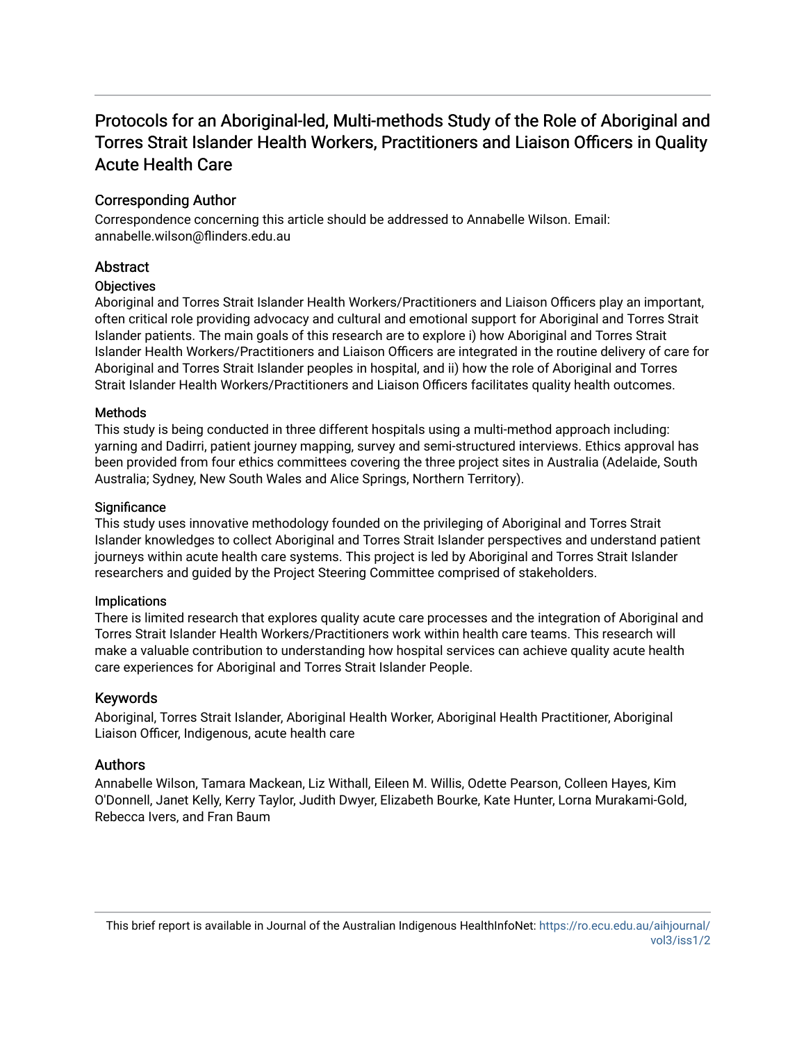# Protocols for an Aboriginal-led, Multi-methods Study of the Role of Aboriginal and Torres Strait Islander Health Workers, Practitioners and Liaison Officers in Quality Acute Health Care

# Corresponding Author

Correspondence concerning this article should be addressed to Annabelle Wilson. Email: annabelle.wilson@flinders.edu.au

# Abstract

# **Objectives**

Aboriginal and Torres Strait Islander Health Workers/Practitioners and Liaison Officers play an important, often critical role providing advocacy and cultural and emotional support for Aboriginal and Torres Strait Islander patients. The main goals of this research are to explore i) how Aboriginal and Torres Strait Islander Health Workers/Practitioners and Liaison Officers are integrated in the routine delivery of care for Aboriginal and Torres Strait Islander peoples in hospital, and ii) how the role of Aboriginal and Torres Strait Islander Health Workers/Practitioners and Liaison Officers facilitates quality health outcomes.

# Methods

This study is being conducted in three different hospitals using a multi-method approach including: yarning and Dadirri, patient journey mapping, survey and semi-structured interviews. Ethics approval has been provided from four ethics committees covering the three project sites in Australia (Adelaide, South Australia; Sydney, New South Wales and Alice Springs, Northern Territory).

#### **Significance**

This study uses innovative methodology founded on the privileging of Aboriginal and Torres Strait Islander knowledges to collect Aboriginal and Torres Strait Islander perspectives and understand patient journeys within acute health care systems. This project is led by Aboriginal and Torres Strait Islander researchers and guided by the Project Steering Committee comprised of stakeholders.

#### Implications

There is limited research that explores quality acute care processes and the integration of Aboriginal and Torres Strait Islander Health Workers/Practitioners work within health care teams. This research will make a valuable contribution to understanding how hospital services can achieve quality acute health care experiences for Aboriginal and Torres Strait Islander People.

# Keywords

Aboriginal, Torres Strait Islander, Aboriginal Health Worker, Aboriginal Health Practitioner, Aboriginal Liaison Officer, Indigenous, acute health care

# Authors

Annabelle Wilson, Tamara Mackean, Liz Withall, Eileen M. Willis, Odette Pearson, Colleen Hayes, Kim O'Donnell, Janet Kelly, Kerry Taylor, Judith Dwyer, Elizabeth Bourke, Kate Hunter, Lorna Murakami-Gold, Rebecca Ivers, and Fran Baum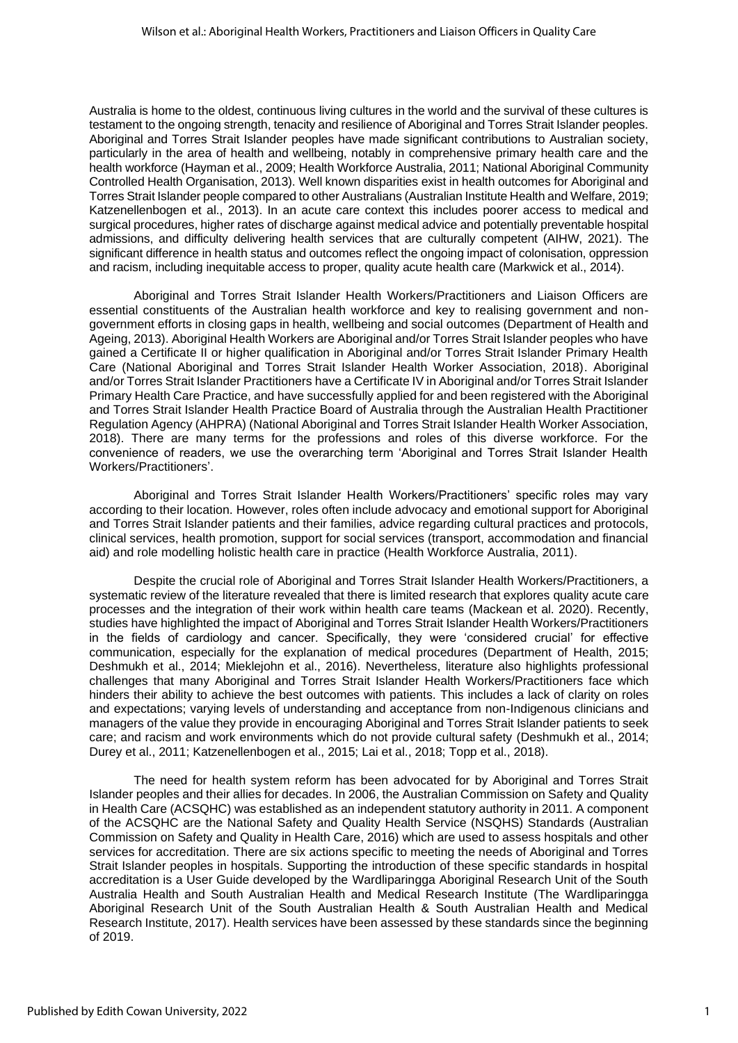Australia is home to the oldest, continuous living cultures in the world and the survival of these cultures is testament to the ongoing strength, tenacity and resilience of Aboriginal and Torres Strait Islander peoples. Aboriginal and Torres Strait Islander peoples have made significant contributions to Australian society, particularly in the area of health and wellbeing, notably in comprehensive primary health care and the health workforce (Hayman et al., 2009; Health Workforce Australia, 2011; National Aboriginal Community Controlled Health Organisation, 2013). Well known disparities exist in health outcomes for Aboriginal and Torres Strait Islander people compared to other Australians (Australian Institute Health and Welfare, 2019; Katzenellenbogen et al., 2013). In an acute care context this includes poorer access to medical and surgical procedures, higher rates of discharge against medical advice and potentially preventable hospital admissions, and difficulty delivering health services that are culturally competent (AIHW, 2021). The significant difference in health status and outcomes reflect the ongoing impact of colonisation, oppression and racism, including inequitable access to proper, quality acute health care (Markwick et al., 2014).

Aboriginal and Torres Strait Islander Health Workers/Practitioners and Liaison Officers are essential constituents of the Australian health workforce and key to realising government and nongovernment efforts in closing gaps in health, wellbeing and social outcomes (Department of Health and Ageing, 2013). Aboriginal Health Workers are Aboriginal and/or Torres Strait Islander peoples who have gained a Certificate II or higher qualification in Aboriginal and/or Torres Strait Islander Primary Health Care (National Aboriginal and Torres Strait Islander Health Worker Association, 2018). Aboriginal and/or Torres Strait Islander Practitioners have a Certificate IV in Aboriginal and/or Torres Strait Islander Primary Health Care Practice, and have successfully applied for and been registered with the Aboriginal and Torres Strait Islander Health Practice Board of Australia through the Australian Health Practitioner Regulation Agency (AHPRA) (National Aboriginal and Torres Strait Islander Health Worker Association, 2018). There are many terms for the professions and roles of this diverse workforce. For the convenience of readers, we use the overarching term 'Aboriginal and Torres Strait Islander Health Workers/Practitioners'.

Aboriginal and Torres Strait Islander Health Workers/Practitioners' specific roles may vary according to their location. However, roles often include advocacy and emotional support for Aboriginal and Torres Strait Islander patients and their families, advice regarding cultural practices and protocols, clinical services, health promotion, support for social services (transport, accommodation and financial aid) and role modelling holistic health care in practice (Health Workforce Australia, 2011).

Despite the crucial role of Aboriginal and Torres Strait Islander Health Workers/Practitioners, a systematic review of the literature revealed that there is limited research that explores quality acute care processes and the integration of their work within health care teams (Mackean et al. 2020). Recently, studies have highlighted the impact of Aboriginal and Torres Strait Islander Health Workers/Practitioners in the fields of cardiology and cancer. Specifically, they were 'considered crucial' for effective communication, especially for the explanation of medical procedures (Department of Health, 2015; Deshmukh et al., 2014; Mieklejohn et al., 2016). Nevertheless, literature also highlights professional challenges that many Aboriginal and Torres Strait Islander Health Workers/Practitioners face which hinders their ability to achieve the best outcomes with patients. This includes a lack of clarity on roles and expectations; varying levels of understanding and acceptance from non-Indigenous clinicians and managers of the value they provide in encouraging Aboriginal and Torres Strait Islander patients to seek care; and racism and work environments which do not provide cultural safety (Deshmukh et al., 2014; Durey et al., 2011; Katzenellenbogen et al., 2015; Lai et al., 2018; Topp et al., 2018).

The need for health system reform has been advocated for by Aboriginal and Torres Strait Islander peoples and their allies for decades. In 2006, the Australian Commission on Safety and Quality in Health Care (ACSQHC) was established as an independent statutory authority in 2011. A component of the ACSQHC are the National Safety and Quality Health Service (NSQHS) Standards (Australian Commission on Safety and Quality in Health Care, 2016) which are used to assess hospitals and other services for accreditation. There are six actions specific to meeting the needs of Aboriginal and Torres Strait Islander peoples in hospitals. Supporting the introduction of these specific standards in hospital accreditation is a User Guide developed by the Wardliparingga Aboriginal Research Unit of the South Australia Health and South Australian Health and Medical Research Institute (The Wardliparingga Aboriginal Research Unit of the South Australian Health & South Australian Health and Medical Research Institute, 2017). Health services have been assessed by these standards since the beginning of 2019.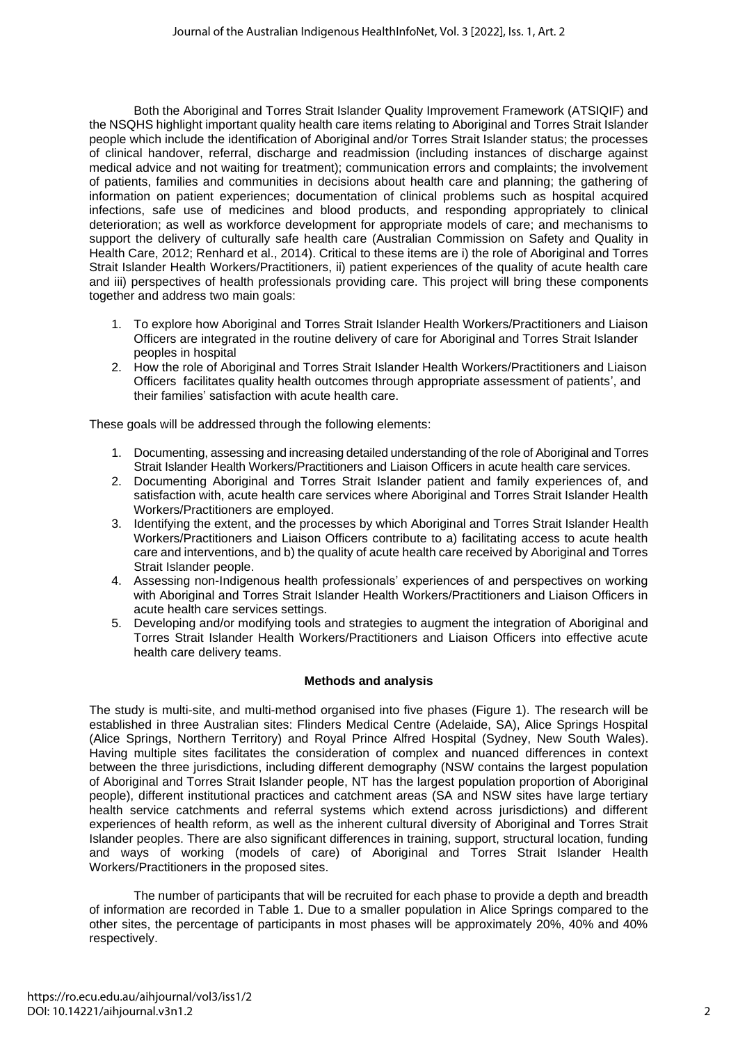Both the Aboriginal and Torres Strait Islander Quality Improvement Framework (ATSIQIF) and the NSQHS highlight important quality health care items relating to Aboriginal and Torres Strait Islander people which include the identification of Aboriginal and/or Torres Strait Islander status; the processes of clinical handover, referral, discharge and readmission (including instances of discharge against medical advice and not waiting for treatment); communication errors and complaints; the involvement of patients, families and communities in decisions about health care and planning; the gathering of information on patient experiences; documentation of clinical problems such as hospital acquired infections, safe use of medicines and blood products, and responding appropriately to clinical deterioration; as well as workforce development for appropriate models of care; and mechanisms to support the delivery of culturally safe health care (Australian Commission on Safety and Quality in Health Care, 2012; Renhard et al., 2014). Critical to these items are i) the role of Aboriginal and Torres Strait Islander Health Workers/Practitioners, ii) patient experiences of the quality of acute health care and iii) perspectives of health professionals providing care. This project will bring these components together and address two main goals:

- 1. To explore how Aboriginal and Torres Strait Islander Health Workers/Practitioners and Liaison Officers are integrated in the routine delivery of care for Aboriginal and Torres Strait Islander peoples in hospital
- 2. How the role of Aboriginal and Torres Strait Islander Health Workers/Practitioners and Liaison Officers facilitates quality health outcomes through appropriate assessment of patients', and their families' satisfaction with acute health care.

These goals will be addressed through the following elements:

- 1. Documenting, assessing and increasing detailed understanding of the role of Aboriginal and Torres Strait Islander Health Workers/Practitioners and Liaison Officers in acute health care services.
- 2. Documenting Aboriginal and Torres Strait Islander patient and family experiences of, and satisfaction with, acute health care services where Aboriginal and Torres Strait Islander Health Workers/Practitioners are employed.
- 3. Identifying the extent, and the processes by which Aboriginal and Torres Strait Islander Health Workers/Practitioners and Liaison Officers contribute to a) facilitating access to acute health care and interventions, and b) the quality of acute health care received by Aboriginal and Torres Strait Islander people.
- 4. Assessing non-Indigenous health professionals' experiences of and perspectives on working with Aboriginal and Torres Strait Islander Health Workers/Practitioners and Liaison Officers in acute health care services settings.
- 5. Developing and/or modifying tools and strategies to augment the integration of Aboriginal and Torres Strait Islander Health Workers/Practitioners and Liaison Officers into effective acute health care delivery teams.

# **Methods and analysis**

The study is multi-site, and multi-method organised into five phases (Figure 1). The research will be established in three Australian sites: Flinders Medical Centre (Adelaide, SA), Alice Springs Hospital (Alice Springs, Northern Territory) and Royal Prince Alfred Hospital (Sydney, New South Wales). Having multiple sites facilitates the consideration of complex and nuanced differences in context between the three jurisdictions, including different demography (NSW contains the largest population of Aboriginal and Torres Strait Islander people, NT has the largest population proportion of Aboriginal people), different institutional practices and catchment areas (SA and NSW sites have large tertiary health service catchments and referral systems which extend across jurisdictions) and different experiences of health reform, as well as the inherent cultural diversity of Aboriginal and Torres Strait Islander peoples. There are also significant differences in training, support, structural location, funding and ways of working (models of care) of Aboriginal and Torres Strait Islander Health Workers/Practitioners in the proposed sites.

The number of participants that will be recruited for each phase to provide a depth and breadth of information are recorded in Table 1. Due to a smaller population in Alice Springs compared to the other sites, the percentage of participants in most phases will be approximately 20%, 40% and 40% respectively.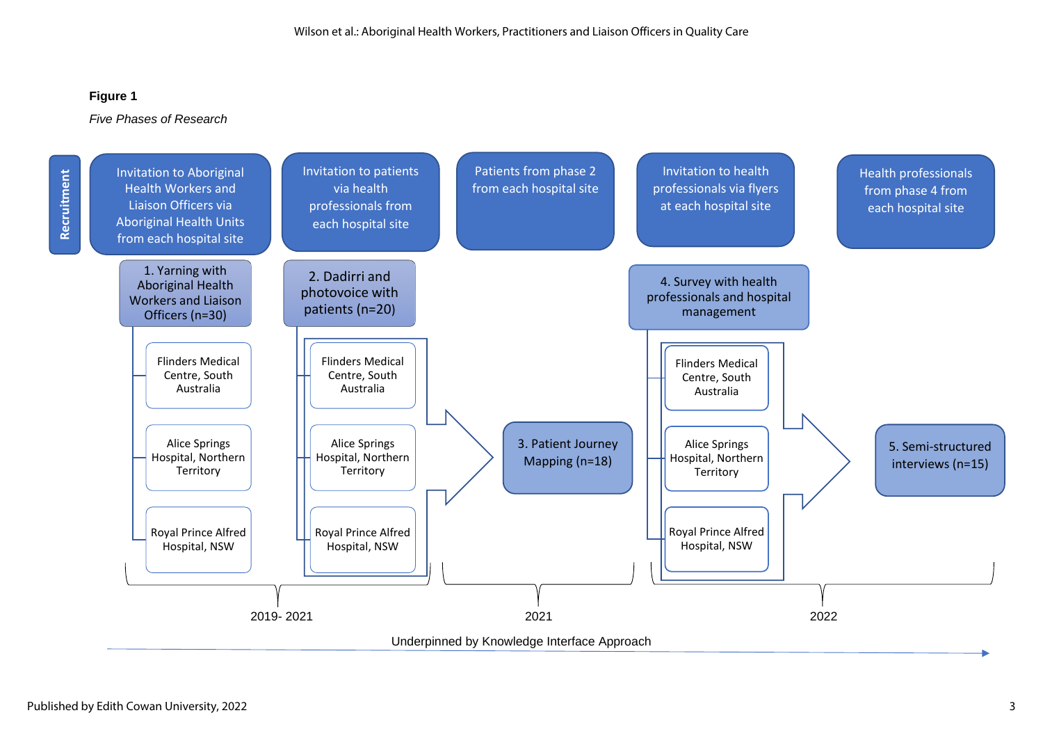# **Figure 1**

#### *Five Phases of Research*

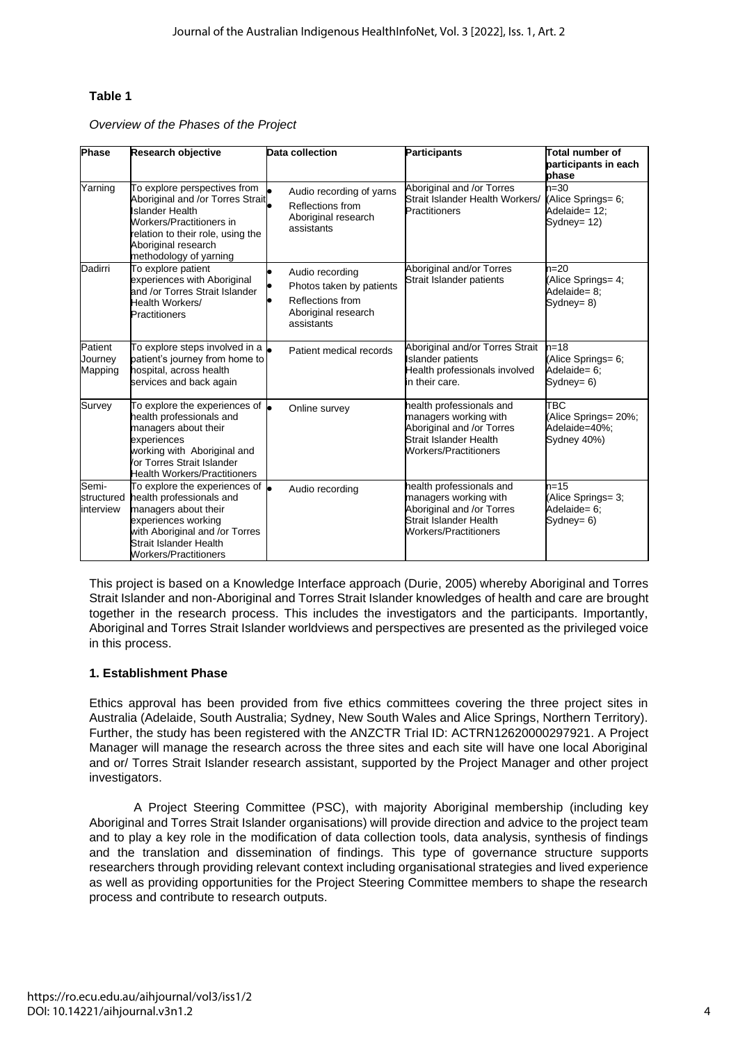# **Table 1**

*Overview of the Phases of the Project*

| <b>Phase</b>                     | Research objective                                                                                                                                                                                                    | Data collection                                                                                      | <b>Participants</b>                                                                                                               | Total number of<br>participants in each<br>phase                  |
|----------------------------------|-----------------------------------------------------------------------------------------------------------------------------------------------------------------------------------------------------------------------|------------------------------------------------------------------------------------------------------|-----------------------------------------------------------------------------------------------------------------------------------|-------------------------------------------------------------------|
| Yarning                          | To explore perspectives from<br>Aboriginal and /or Torres Strait<br><b>Islander Health</b><br>Workers/Practitioners in<br>relation to their role, using the<br>Aboriginal research<br>methodology of yarning          | Audio recording of yarns<br>Reflections from<br>Aboriginal research<br>assistants                    | Aboriginal and /or Torres<br>Strait Islander Health Workers/<br>Practitioners                                                     | $n = 30$<br>(Alice Springs= 6;<br>Adelaide= 12;<br>Sydney= $12$ ) |
| Dadirri                          | To explore patient<br>experiences with Aboriginal<br>and /or Torres Strait Islander<br><b>Health Workers/</b><br><b>Practitioners</b>                                                                                 | Audio recording<br>Photos taken by patients<br>Reflections from<br>Aboriginal research<br>assistants | Aboriginal and/or Torres<br>Strait Islander patients                                                                              | $n=20$<br>(Alice Springs= 4;<br>Adelaide= 8;<br>Sydney= $8)$      |
| Patient<br>Journey<br>Mapping    | To explore steps involved in a<br>patient's journey from home to<br>hospital, across health<br>services and back again                                                                                                | Patient medical records                                                                              | Aboriginal and/or Torres Strait<br><b>Islander patients</b><br>Health professionals involved<br>in their care.                    | $n = 18$<br>(Alice Springs= 6;<br>Adelaide= 6;<br>Sydney= $6$ )   |
| Survey                           | To explore the experiences of <b>.</b><br>health professionals and<br>managers about their<br>experiences<br>working with Aboriginal and<br>or Torres Strait Islander<br><b>Health Workers/Practitioners</b>          | Online survey                                                                                        | health professionals and<br>managers working with<br>Aboriginal and /or Torres<br>Strait Islander Health<br>Workers/Practitioners | TBC<br>(Alice Springs= 20%;<br>Adelaide=40%:<br>Sydney 40%)       |
| Semi-<br>structured<br>interview | To explore the experiences of $\bullet$<br>health professionals and<br>managers about their<br>experiences working<br>with Aboriginal and /or Torres<br><b>Strait Islander Health</b><br><b>Workers/Practitioners</b> | Audio recording                                                                                      | health professionals and<br>managers working with<br>Aboriginal and /or Torres<br>Strait Islander Health<br>Workers/Practitioners | $n = 15$<br>(Alice Springs= 3;<br>Adelaide= 6;<br>Sydney= $6$ )   |

This project is based on a Knowledge Interface approach (Durie, 2005) whereby Aboriginal and Torres Strait Islander and non-Aboriginal and Torres Strait Islander knowledges of health and care are brought together in the research process. This includes the investigators and the participants. Importantly, Aboriginal and Torres Strait Islander worldviews and perspectives are presented as the privileged voice in this process.

# **1. Establishment Phase**

Ethics approval has been provided from five ethics committees covering the three project sites in Australia (Adelaide, South Australia; Sydney, New South Wales and Alice Springs, Northern Territory). Further, the study has been registered with the ANZCTR Trial ID: ACTRN12620000297921. A Project Manager will manage the research across the three sites and each site will have one local Aboriginal and or/ Torres Strait Islander research assistant, supported by the Project Manager and other project investigators.

A Project Steering Committee (PSC), with majority Aboriginal membership (including key Aboriginal and Torres Strait Islander organisations) will provide direction and advice to the project team and to play a key role in the modification of data collection tools, data analysis, synthesis of findings and the translation and dissemination of findings. This type of governance structure supports researchers through providing relevant context including organisational strategies and lived experience as well as providing opportunities for the Project Steering Committee members to shape the research process and contribute to research outputs.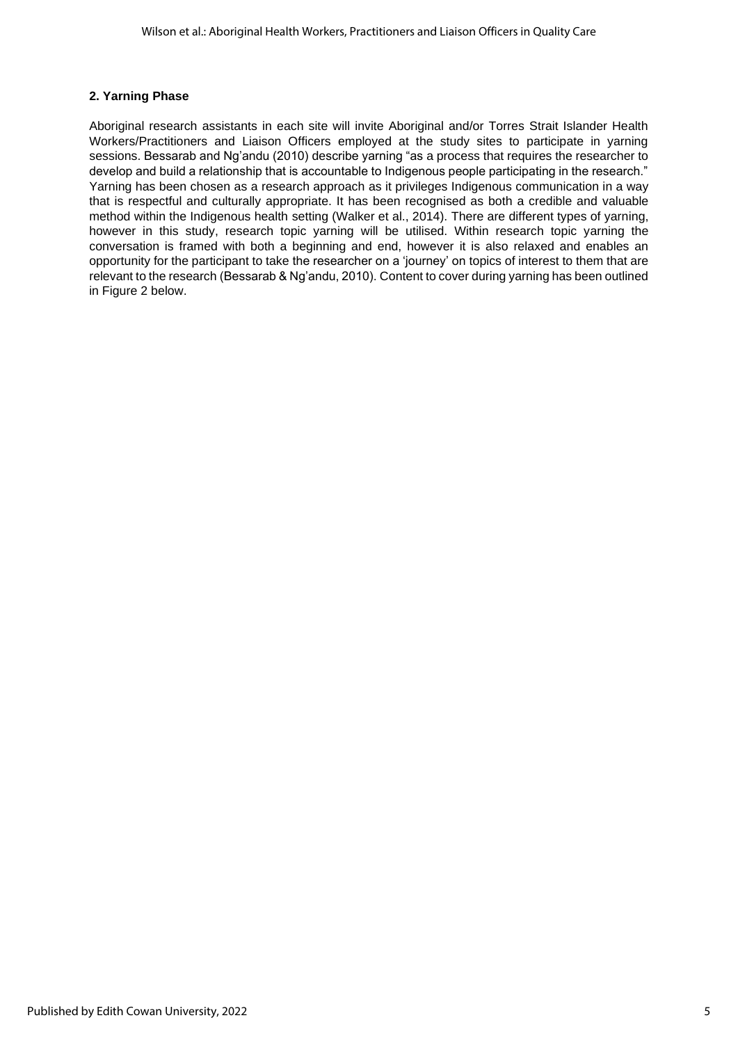# **2. Yarning Phase**

Aboriginal research assistants in each site will invite Aboriginal and/or Torres Strait Islander Health Workers/Practitioners and Liaison Officers employed at the study sites to participate in yarning sessions. Bessarab and Ng'andu (2010) describe yarning "as a process that requires the researcher to develop and build a relationship that is accountable to Indigenous people participating in the research." Yarning has been chosen as a research approach as it privileges Indigenous communication in a way that is respectful and culturally appropriate. It has been recognised as both a credible and valuable method within the Indigenous health setting (Walker et al., 2014). There are different types of yarning, however in this study, research topic yarning will be utilised. Within research topic yarning the conversation is framed with both a beginning and end, however it is also relaxed and enables an opportunity for the participant to take the researcher on a 'journey' on topics of interest to them that are relevant to the research (Bessarab & Ng'andu, 2010). Content to cover during yarning has been outlined in Figure 2 below.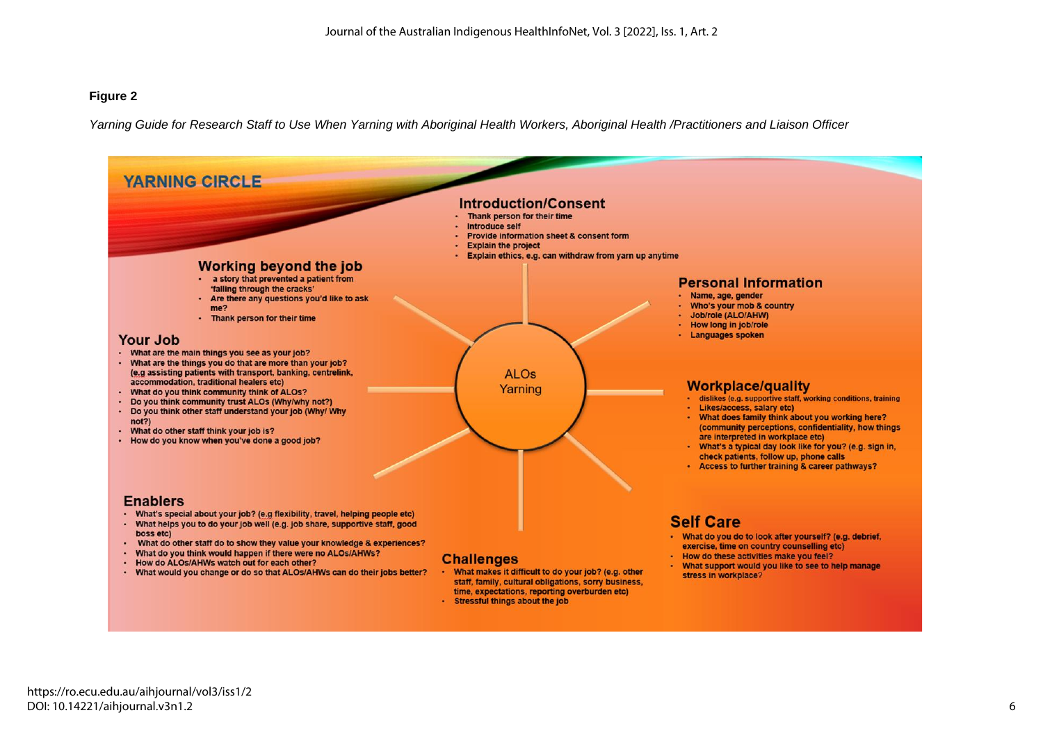#### **Figure 2**

*Yarning Guide for Research Staff to Use When Yarning with Aboriginal Health Workers, Aboriginal Health /Practitioners and Liaison Officer*

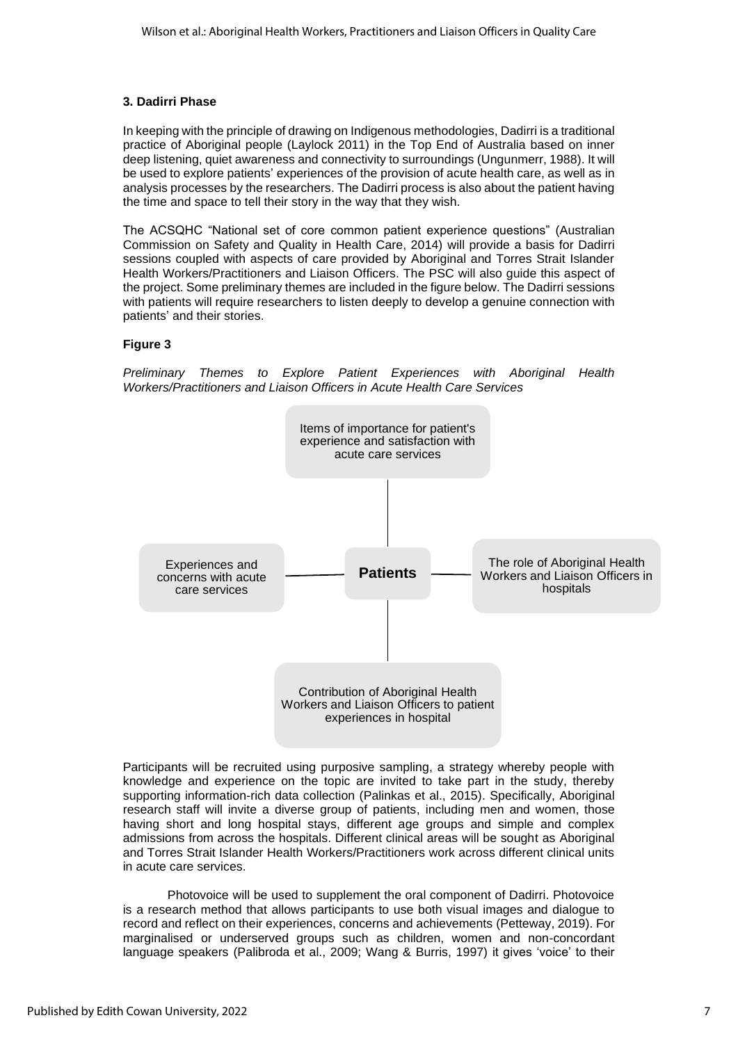# **3. Dadirri Phase**

In keeping with the principle of drawing on Indigenous methodologies, Dadirri is a traditional practice of Aboriginal people (Laylock 2011) in the Top End of Australia based on inner deep listening, quiet awareness and connectivity to surroundings (Ungunmerr, 1988). It will be used to explore patients' experiences of the provision of acute health care, as well as in analysis processes by the researchers. The Dadirri process is also about the patient having the time and space to tell their story in the way that they wish.

The ACSQHC "National set of core common patient experience questions" (Australian Commission on Safety and Quality in Health Care, 2014) will provide a basis for Dadirri sessions coupled with aspects of care provided by Aboriginal and Torres Strait Islander Health Workers/Practitioners and Liaison Officers. The PSC will also guide this aspect of the project. Some preliminary themes are included in the figure below. The Dadirri sessions with patients will require researchers to listen deeply to develop a genuine connection with patients' and their stories.

# **Figure 3**

*Preliminary Themes to Explore Patient Experiences with Aboriginal Health Workers/Practitioners and Liaison Officers in Acute Health Care Services* 



Participants will be recruited using purposive sampling, a strategy whereby people with knowledge and experience on the topic are invited to take part in the study, thereby supporting information-rich data collection (Palinkas et al., 2015). Specifically, Aboriginal research staff will invite a diverse group of patients, including men and women, those having short and long hospital stays, different age groups and simple and complex admissions from across the hospitals. Different clinical areas will be sought as Aboriginal and Torres Strait Islander Health Workers/Practitioners work across different clinical units in acute care services.

Photovoice will be used to supplement the oral component of Dadirri. Photovoice is a research method that allows participants to use both visual images and dialogue to record and reflect on their experiences, concerns and achievements (Petteway, 2019). For marginalised or underserved groups such as children, women and non-concordant language speakers (Palibroda et al., 2009; Wang & Burris, 1997) it gives 'voice' to their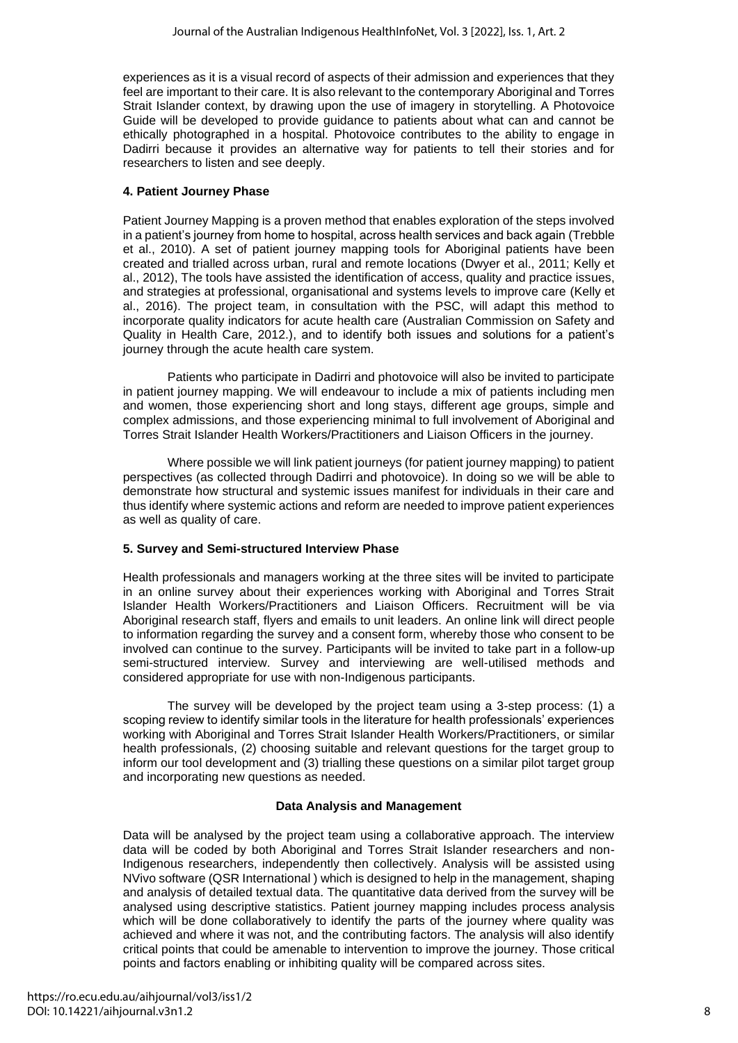experiences as it is a visual record of aspects of their admission and experiences that they feel are important to their care. It is also relevant to the contemporary Aboriginal and Torres Strait Islander context, by drawing upon the use of imagery in storytelling. A Photovoice Guide will be developed to provide guidance to patients about what can and cannot be ethically photographed in a hospital. Photovoice contributes to the ability to engage in Dadirri because it provides an alternative way for patients to tell their stories and for researchers to listen and see deeply.

# **4. Patient Journey Phase**

Patient Journey Mapping is a proven method that enables exploration of the steps involved in a patient's journey from home to hospital, across health services and back again (Trebble et al., 2010). A set of patient journey mapping tools for Aboriginal patients have been created and trialled across urban, rural and remote locations (Dwyer et al., 2011; Kelly et al., 2012), The tools have assisted the identification of access, quality and practice issues, and strategies at professional, organisational and systems levels to improve care (Kelly et al., 2016). The project team, in consultation with the PSC, will adapt this method to incorporate quality indicators for acute health care (Australian Commission on Safety and Quality in Health Care, 2012.), and to identify both issues and solutions for a patient's journey through the acute health care system.

Patients who participate in Dadirri and photovoice will also be invited to participate in patient journey mapping. We will endeavour to include a mix of patients including men and women, those experiencing short and long stays, different age groups, simple and complex admissions, and those experiencing minimal to full involvement of Aboriginal and Torres Strait Islander Health Workers/Practitioners and Liaison Officers in the journey.

Where possible we will link patient journeys (for patient journey mapping) to patient perspectives (as collected through Dadirri and photovoice). In doing so we will be able to demonstrate how structural and systemic issues manifest for individuals in their care and thus identify where systemic actions and reform are needed to improve patient experiences as well as quality of care.

# **5. Survey and Semi-structured Interview Phase**

Health professionals and managers working at the three sites will be invited to participate in an online survey about their experiences working with Aboriginal and Torres Strait Islander Health Workers/Practitioners and Liaison Officers. Recruitment will be via Aboriginal research staff, flyers and emails to unit leaders. An online link will direct people to information regarding the survey and a consent form, whereby those who consent to be involved can continue to the survey. Participants will be invited to take part in a follow-up semi-structured interview. Survey and interviewing are well-utilised methods and considered appropriate for use with non-Indigenous participants.

The survey will be developed by the project team using a 3-step process: (1) a scoping review to identify similar tools in the literature for health professionals' experiences working with Aboriginal and Torres Strait Islander Health Workers/Practitioners, or similar health professionals, (2) choosing suitable and relevant questions for the target group to inform our tool development and (3) trialling these questions on a similar pilot target group and incorporating new questions as needed.

# **Data Analysis and Management**

Data will be analysed by the project team using a collaborative approach. The interview data will be coded by both Aboriginal and Torres Strait Islander researchers and non-Indigenous researchers, independently then collectively. Analysis will be assisted using NVivo software (QSR International ) which is designed to help in the management, shaping and analysis of detailed textual data. The quantitative data derived from the survey will be analysed using descriptive statistics. Patient journey mapping includes process analysis which will be done collaboratively to identify the parts of the journey where quality was achieved and where it was not, and the contributing factors. The analysis will also identify critical points that could be amenable to intervention to improve the journey. Those critical points and factors enabling or inhibiting quality will be compared across sites.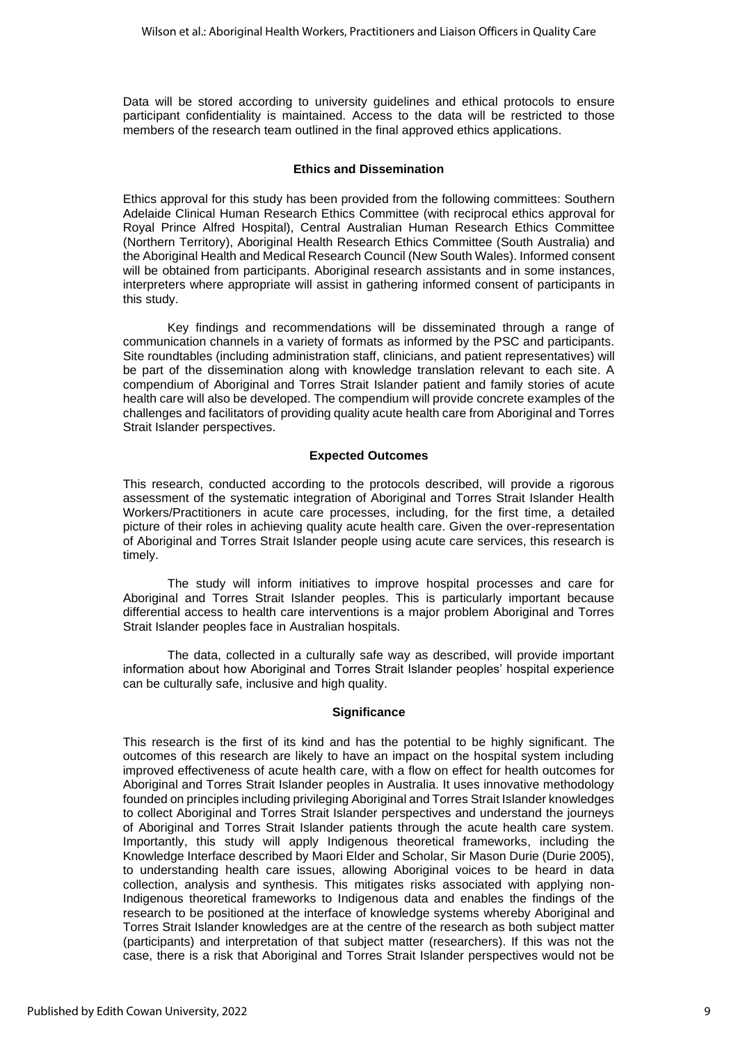Data will be stored according to university guidelines and ethical protocols to ensure participant confidentiality is maintained. Access to the data will be restricted to those members of the research team outlined in the final approved ethics applications.

#### **Ethics and Dissemination**

Ethics approval for this study has been provided from the following committees: Southern Adelaide Clinical Human Research Ethics Committee (with reciprocal ethics approval for Royal Prince Alfred Hospital), Central Australian Human Research Ethics Committee (Northern Territory), Aboriginal Health Research Ethics Committee (South Australia) and the Aboriginal Health and Medical Research Council (New South Wales). Informed consent will be obtained from participants. Aboriginal research assistants and in some instances, interpreters where appropriate will assist in gathering informed consent of participants in this study.

Key findings and recommendations will be disseminated through a range of communication channels in a variety of formats as informed by the PSC and participants. Site roundtables (including administration staff, clinicians, and patient representatives) will be part of the dissemination along with knowledge translation relevant to each site. A compendium of Aboriginal and Torres Strait Islander patient and family stories of acute health care will also be developed. The compendium will provide concrete examples of the challenges and facilitators of providing quality acute health care from Aboriginal and Torres Strait Islander perspectives.

#### **Expected Outcomes**

This research, conducted according to the protocols described, will provide a rigorous assessment of the systematic integration of Aboriginal and Torres Strait Islander Health Workers/Practitioners in acute care processes, including, for the first time, a detailed picture of their roles in achieving quality acute health care. Given the over-representation of Aboriginal and Torres Strait Islander people using acute care services, this research is timely.

The study will inform initiatives to improve hospital processes and care for Aboriginal and Torres Strait Islander peoples. This is particularly important because differential access to health care interventions is a major problem Aboriginal and Torres Strait Islander peoples face in Australian hospitals.

The data, collected in a culturally safe way as described, will provide important information about how Aboriginal and Torres Strait Islander peoples' hospital experience can be culturally safe, inclusive and high quality.

#### **Significance**

This research is the first of its kind and has the potential to be highly significant. The outcomes of this research are likely to have an impact on the hospital system including improved effectiveness of acute health care, with a flow on effect for health outcomes for Aboriginal and Torres Strait Islander peoples in Australia. It uses innovative methodology founded on principles including privileging Aboriginal and Torres Strait Islander knowledges to collect Aboriginal and Torres Strait Islander perspectives and understand the journeys of Aboriginal and Torres Strait Islander patients through the acute health care system. Importantly, this study will apply Indigenous theoretical frameworks, including the Knowledge Interface described by Maori Elder and Scholar, Sir Mason Durie (Durie 2005), to understanding health care issues, allowing Aboriginal voices to be heard in data collection, analysis and synthesis. This mitigates risks associated with applying non-Indigenous theoretical frameworks to Indigenous data and enables the findings of the research to be positioned at the interface of knowledge systems whereby Aboriginal and Torres Strait Islander knowledges are at the centre of the research as both subject matter (participants) and interpretation of that subject matter (researchers). If this was not the case, there is a risk that Aboriginal and Torres Strait Islander perspectives would not be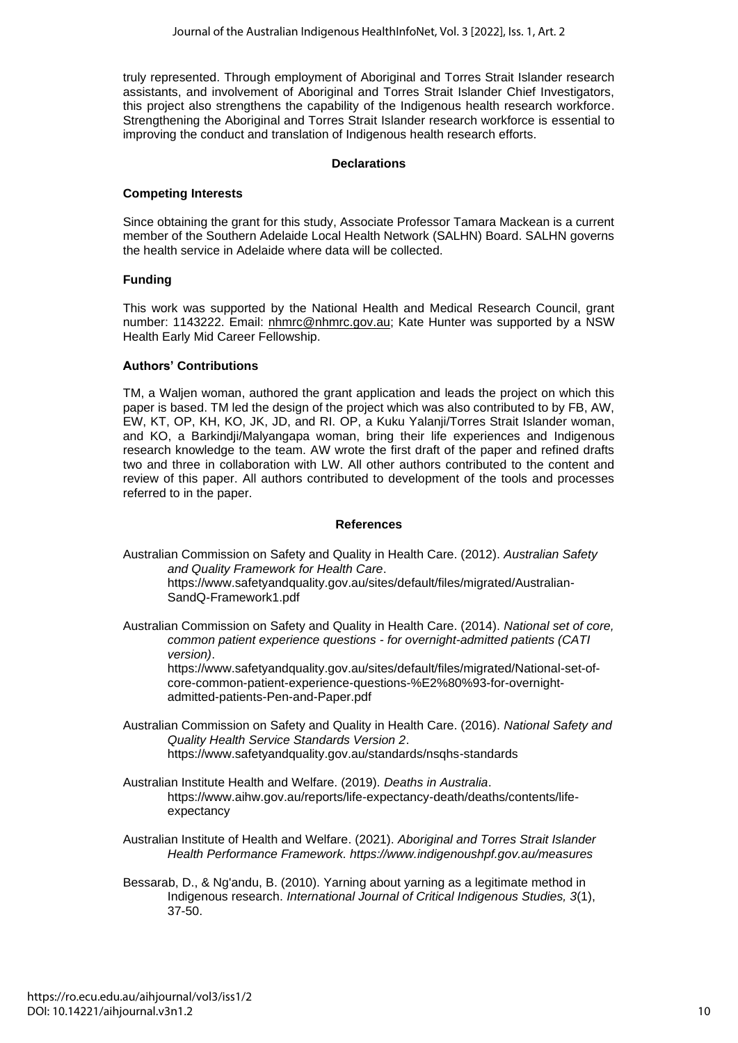truly represented. Through employment of Aboriginal and Torres Strait Islander research assistants, and involvement of Aboriginal and Torres Strait Islander Chief Investigators, this project also strengthens the capability of the Indigenous health research workforce. Strengthening the Aboriginal and Torres Strait Islander research workforce is essential to improving the conduct and translation of Indigenous health research efforts.

#### **Declarations**

# **Competing Interests**

Since obtaining the grant for this study, Associate Professor Tamara Mackean is a current member of the Southern Adelaide Local Health Network (SALHN) Board. SALHN governs the health service in Adelaide where data will be collected.

#### **Funding**

This work was supported by the National Health and Medical Research Council, grant number: 1143222. Email: [nhmrc@nhmrc.gov.au;](mailto:nhmrc@nhmrc.gov.au) Kate Hunter was supported by a NSW Health Early Mid Career Fellowship.

#### **Authors' Contributions**

TM, a Waljen woman, authored the grant application and leads the project on which this paper is based. TM led the design of the project which was also contributed to by FB, AW, EW, KT, OP, KH, KO, JK, JD, and RI. OP, a Kuku Yalanji/Torres Strait Islander woman, and KO, a Barkindji/Malyangapa woman, bring their life experiences and Indigenous research knowledge to the team. AW wrote the first draft of the paper and refined drafts two and three in collaboration with LW. All other authors contributed to the content and review of this paper. All authors contributed to development of the tools and processes referred to in the paper.

#### **References**

Australian Commission on Safety and Quality in Health Care. (2012). *Australian Safety and Quality Framework for Health Care*. [https://www.safetyandquality.gov.au/sites/default/files/migrated/Australian-](https://www.safetyandquality.gov.au/sites/default/files/migrated/Australian-SandQ-Framework1.pdf)

[SandQ-Framework1.pdf](https://www.safetyandquality.gov.au/sites/default/files/migrated/Australian-SandQ-Framework1.pdf) Australian Commission on Safety and Quality in Health Care. (2014). *National set of core,* 

*common patient experience questions - for overnight-admitted patients (CATI version)*. [https://www.safetyandquality.gov.au/sites/default/files/migrated/National-set-of-](https://www.safetyandquality.gov.au/sites/default/files/migrated/National-set-of-core-common-patient-experience-questions-%E2%80%93-for-overnight-admitted-patients-Pen-and-Paper.pdf)

[core-common-patient-experience-questions-%E2%80%93-for-overnight](https://www.safetyandquality.gov.au/sites/default/files/migrated/National-set-of-core-common-patient-experience-questions-%E2%80%93-for-overnight-admitted-patients-Pen-and-Paper.pdf)[admitted-patients-Pen-and-Paper.pdf](https://www.safetyandquality.gov.au/sites/default/files/migrated/National-set-of-core-common-patient-experience-questions-%E2%80%93-for-overnight-admitted-patients-Pen-and-Paper.pdf)

- Australian Commission on Safety and Quality in Health Care. (2016). *National Safety and Quality Health Service Standards Version 2*. <https://www.safetyandquality.gov.au/standards/nsqhs-standards>
- Australian Institute Health and Welfare. (2019). *Deaths in Australia*. [https://www.aihw.gov.au/reports/life-expectancy-death/deaths/contents/life](https://www.aihw.gov.au/reports/life-expectancy-death/deaths/contents/life-expectancy)[expectancy](https://www.aihw.gov.au/reports/life-expectancy-death/deaths/contents/life-expectancy)

Australian Institute of Health and Welfare. (2021). *Aboriginal and Torres Strait Islander Health Performance Framework. https://www.indigenoushpf.gov.au/measures*

Bessarab, D., & Ng'andu, B. (2010). Yarning about yarning as a legitimate method in Indigenous research. *International Journal of Critical Indigenous Studies, 3*(1), 37-50.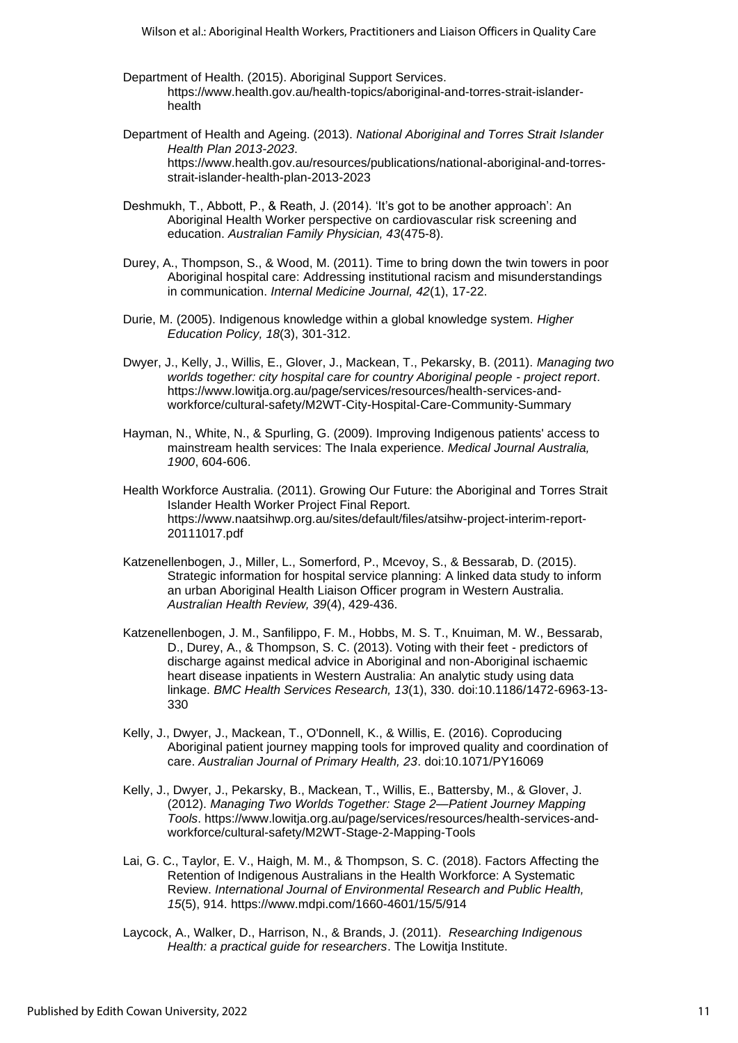- Department of Health. (2015). Aboriginal Support Services. [https://www.health.gov.au/health-topics/aboriginal-and-torres-strait-islander](https://www.health.gov.au/health-topics/aboriginal-and-torres-strait-islander-health)[health](https://www.health.gov.au/health-topics/aboriginal-and-torres-strait-islander-health)
- Department of Health and Ageing. (2013). *National Aboriginal and Torres Strait Islander Health Plan 2013-2023*. [https://www.health.gov.au/resources/publications/national-aboriginal-and-torres](https://www.health.gov.au/resources/publications/national-aboriginal-and-torres-strait-islander-health-plan-2013-2023)[strait-islander-health-plan-2013-2023](https://www.health.gov.au/resources/publications/national-aboriginal-and-torres-strait-islander-health-plan-2013-2023)
- Deshmukh, T., Abbott, P., & Reath, J. (2014). 'It's got to be another approach': An Aboriginal Health Worker perspective on cardiovascular risk screening and education. *Australian Family Physician, 43*(475-8).
- Durey, A., Thompson, S., & Wood, M. (2011). Time to bring down the twin towers in poor Aboriginal hospital care: Addressing institutional racism and misunderstandings in communication. *Internal Medicine Journal, 42*(1), 17-22.
- Durie, M. (2005). Indigenous knowledge within a global knowledge system. *Higher Education Policy, 18*(3), 301-312.
- Dwyer, J., Kelly, J., Willis, E., Glover, J., Mackean, T., Pekarsky, B. (2011). *Managing two worlds together: city hospital care for country Aboriginal people - project report*. [https://www.lowitja.org.au/page/services/resources/health-services-and](https://www.lowitja.org.au/page/services/resources/health-services-and-workforce/cultural-safety/M2WT-City-Hospital-Care-Community-Summary)[workforce/cultural-safety/M2WT-City-Hospital-Care-Community-Summary](https://www.lowitja.org.au/page/services/resources/health-services-and-workforce/cultural-safety/M2WT-City-Hospital-Care-Community-Summary)
- Hayman, N., White, N., & Spurling, G. (2009). Improving Indigenous patients' access to mainstream health services: The Inala experience. *Medical Journal Australia, 1900*, 604-606.
- Health Workforce Australia. (2011). Growing Our Future: the Aboriginal and Torres Strait Islander Health Worker Project Final Report. [https://www.naatsihwp.org.au/sites/default/files/atsihw-project-interim-report-](https://www.naatsihwp.org.au/sites/default/files/atsihw-project-interim-report-20111017.pdf)[20111017.pdf](https://www.naatsihwp.org.au/sites/default/files/atsihw-project-interim-report-20111017.pdf)
- Katzenellenbogen, J., Miller, L., Somerford, P., Mcevoy, S., & Bessarab, D. (2015). Strategic information for hospital service planning: A linked data study to inform an urban Aboriginal Health Liaison Officer program in Western Australia. *Australian Health Review, 39*(4), 429-436.
- Katzenellenbogen, J. M., Sanfilippo, F. M., Hobbs, M. S. T., Knuiman, M. W., Bessarab, D., Durey, A., & Thompson, S. C. (2013). Voting with their feet - predictors of discharge against medical advice in Aboriginal and non-Aboriginal ischaemic heart disease inpatients in Western Australia: An analytic study using data linkage. *BMC Health Services Research, 13*(1), 330. doi:10.1186/1472-6963-13- 330
- Kelly, J., Dwyer, J., Mackean, T., O'Donnell, K., & Willis, E. (2016). Coproducing Aboriginal patient journey mapping tools for improved quality and coordination of care. *Australian Journal of Primary Health, 23*. doi:10.1071/PY16069
- Kelly, J., Dwyer, J., Pekarsky, B., Mackean, T., Willis, E., Battersby, M., & Glover, J. (2012). *Managing Two Worlds Together: Stage 2—Patient Journey Mapping Tools*. [https://www.lowitja.org.au/page/services/resources/health-services-and](https://www.lowitja.org.au/page/services/resources/health-services-and-workforce/cultural-safety/M2WT-Stage-2-Mapping-Tools)[workforce/cultural-safety/M2WT-Stage-2-Mapping-Tools](https://www.lowitja.org.au/page/services/resources/health-services-and-workforce/cultural-safety/M2WT-Stage-2-Mapping-Tools)
- Lai, G. C., Taylor, E. V., Haigh, M. M., & Thompson, S. C. (2018). Factors Affecting the Retention of Indigenous Australians in the Health Workforce: A Systematic Review. *International Journal of Environmental Research and Public Health, 15*(5), 914.<https://www.mdpi.com/1660-4601/15/5/914>
- Laycock, A., Walker, D., Harrison, N., & Brands, J. (2011). *Researching Indigenous Health: a practical guide for researchers*. The Lowitja Institute.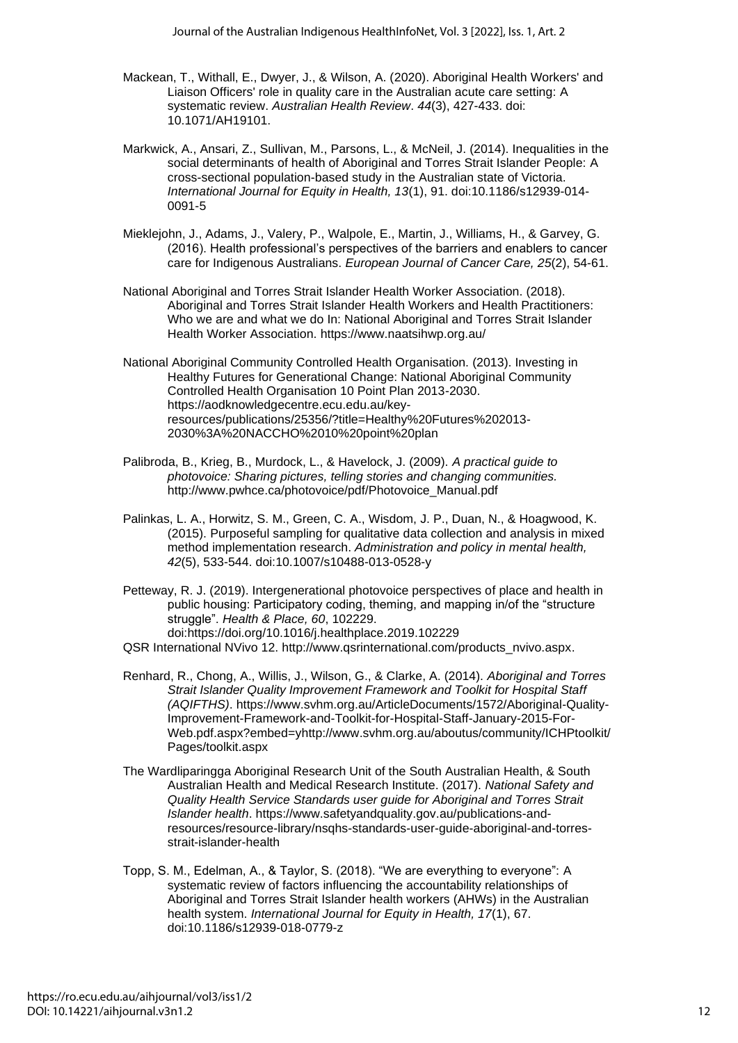- Mackean, T., Withall, E., Dwyer, J., & Wilson, A. (2020). Aboriginal Health Workers' and Liaison Officers' role in quality care in the Australian acute care setting: A systematic review. *Australian Health Review*. *44*(3), 427-433. doi: 10.1071/AH19101.
- Markwick, A., Ansari, Z., Sullivan, M., Parsons, L., & McNeil, J. (2014). Inequalities in the social determinants of health of Aboriginal and Torres Strait Islander People: A cross-sectional population-based study in the Australian state of Victoria. *International Journal for Equity in Health, 13*(1), 91. doi:10.1186/s12939-014- 0091-5
- Mieklejohn, J., Adams, J., Valery, P., Walpole, E., Martin, J., Williams, H., & Garvey, G. (2016). Health professional's perspectives of the barriers and enablers to cancer care for Indigenous Australians. *European Journal of Cancer Care, 25*(2), 54-61.
- National Aboriginal and Torres Strait Islander Health Worker Association. (2018). Aboriginal and Torres Strait Islander Health Workers and Health Practitioners: Who we are and what we do In: National Aboriginal and Torres Strait Islander Health Worker Association. <https://www.naatsihwp.org.au/>
- National Aboriginal Community Controlled Health Organisation. (2013). Investing in Healthy Futures for Generational Change: National Aboriginal Community Controlled Health Organisation 10 Point Plan 2013-2030. [https://aodknowledgecentre.ecu.edu.au/key](https://aodknowledgecentre.ecu.edu.au/key-resources/publications/25356/?title=Healthy%20Futures%202013-2030%3A%20NACCHO%2010%20point%20plan)[resources/publications/25356/?title=Healthy%20Futures%202013-](https://aodknowledgecentre.ecu.edu.au/key-resources/publications/25356/?title=Healthy%20Futures%202013-2030%3A%20NACCHO%2010%20point%20plan) [2030%3A%20NACCHO%2010%20point%20plan](https://aodknowledgecentre.ecu.edu.au/key-resources/publications/25356/?title=Healthy%20Futures%202013-2030%3A%20NACCHO%2010%20point%20plan)
- Palibroda, B., Krieg, B., Murdock, L., & Havelock, J. (2009). *A practical guide to photovoice: Sharing pictures, telling stories and changing communities.* [http://www.pwhce.ca/photovoice/pdf/Photovoice\\_Manual.pdf](http://www.pwhce.ca/photovoice/pdf/Photovoice_Manual.pdf)
- Palinkas, L. A., Horwitz, S. M., Green, C. A., Wisdom, J. P., Duan, N., & Hoagwood, K. (2015). Purposeful sampling for qualitative data collection and analysis in mixed method implementation research. *Administration and policy in mental health, 42*(5), 533-544. doi:10.1007/s10488-013-0528-y
- Petteway, R. J. (2019). Intergenerational photovoice perspectives of place and health in public housing: Participatory coding, theming, and mapping in/of the "structure struggle". *Health & Place, 60*, 102229. doi:https://doi.org/10.1016/j.healthplace.2019.102229

QSR International NVivo 12. [http://www.qsrinternational.com/products\\_nvivo.aspx.](http://www.qsrinternational.com/products_nvivo.aspx)

- Renhard, R., Chong, A., Willis, J., Wilson, G., & Clarke, A. (2014). *Aboriginal and Torres Strait Islander Quality Improvement Framework and Toolkit for Hospital Staff (AQIFTHS)*. https://www.svhm.org.au/ArticleDocuments/1572/Aboriginal-Quality-Improvement-Framework-and-Toolkit-for-Hospital-Staff-January-2015-For-Web.pdf.aspx?embed=yhttp://www.svhm.org.au/aboutus/community/ICHPtoolkit/ Pages/toolkit.aspx
- The Wardliparingga Aboriginal Research Unit of the South Australian Health, & South Australian Health and Medical Research Institute. (2017). *National Safety and Quality Health Service Standards user guide for Aboriginal and Torres Strait Islander health*. [https://www.safetyandquality.gov.au/publications-and](https://www.safetyandquality.gov.au/publications-and-resources/resource-library/nsqhs-standards-user-guide-aboriginal-and-torres-strait-islander-health)[resources/resource-library/nsqhs-standards-user-guide-aboriginal-and-torres](https://www.safetyandquality.gov.au/publications-and-resources/resource-library/nsqhs-standards-user-guide-aboriginal-and-torres-strait-islander-health)[strait-islander-health](https://www.safetyandquality.gov.au/publications-and-resources/resource-library/nsqhs-standards-user-guide-aboriginal-and-torres-strait-islander-health)
- Topp, S. M., Edelman, A., & Taylor, S. (2018). "We are everything to everyone": A systematic review of factors influencing the accountability relationships of Aboriginal and Torres Strait Islander health workers (AHWs) in the Australian health system. *International Journal for Equity in Health, 17*(1), 67. doi:10.1186/s12939-018-0779-z